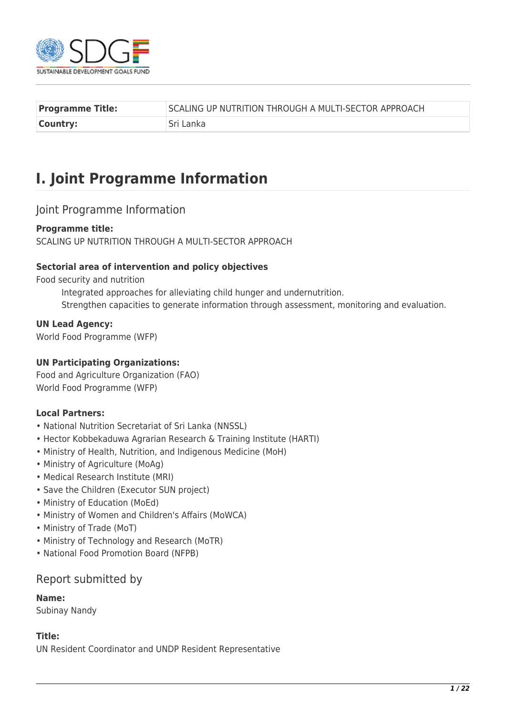

| <b>Programme Title:</b> | SCALING UP NUTRITION THROUGH A MULTI-SECTOR APPROACH |
|-------------------------|------------------------------------------------------|
| Country:                | Sri Lanka                                            |

# **I. Joint Programme Information**

## Joint Programme Information

#### **Programme title:**

SCALING UP NUTRITION THROUGH A MULTI-SECTOR APPROACH

#### **Sectorial area of intervention and policy objectives**

Food security and nutrition

Integrated approaches for alleviating child hunger and undernutrition. Strengthen capacities to generate information through assessment, monitoring and evaluation.

#### **UN Lead Agency:**

World Food Programme (WFP)

#### **UN Participating Organizations:**

Food and Agriculture Organization (FAO) World Food Programme (WFP)

#### **Local Partners:**

- National Nutrition Secretariat of Sri Lanka (NNSSL)
- Hector Kobbekaduwa Agrarian Research & Training Institute (HARTI)
- Ministry of Health, Nutrition, and Indigenous Medicine (MoH)
- Ministry of Agriculture (MoAg)
- Medical Research Institute (MRI)
- Save the Children (Executor SUN project)
- Ministry of Education (MoEd)
- Ministry of Women and Children's Affairs (MoWCA)
- Ministry of Trade (MoT)
- Ministry of Technology and Research (MoTR)
- National Food Promotion Board (NFPB)

#### Report submitted by

**Name:** 

Subinay Nandy

#### **Title:**

UN Resident Coordinator and UNDP Resident Representative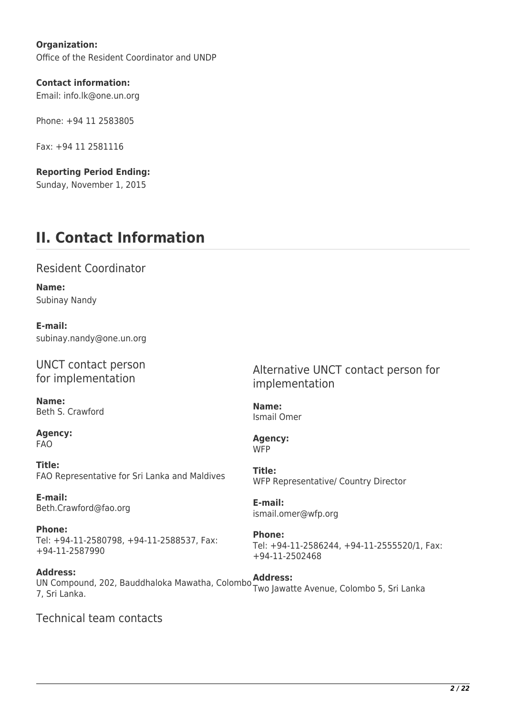**Organization:**  Office of the Resident Coordinator and UNDP

**Contact information:**  Email: info.lk@one.un.org

Phone: +94 11 2583805

Fax: +94 11 2581116

**Reporting Period Ending:**  Sunday, November 1, 2015

# **II. Contact Information**

Resident Coordinator

**Name:**  Subinay Nandy

**E-mail:**  subinay.nandy@one.un.org

UNCT contact person for implementation

**Name:**  Beth S. Crawford

**Agency:**  FAO

**Title:**  FAO Representative for Sri Lanka and Maldives

**E-mail:**  Beth.Crawford@fao.org

**Phone:**  Tel: +94-11-2580798, +94-11-2588537, Fax: +94-11-2587990

**Address:**  UN Compound, 202, Bauddhaloka Mawatha, Colombo **Address:**  7, Sri Lanka. Two Jawatte Avenue, Colombo 5, Sri Lanka

Technical team contacts

Alternative UNCT contact person for implementation

**Name:**  Ismail Omer

**Agency: WFP** 

**Title:**  WFP Representative/ Country Director

**E-mail:**  ismail.omer@wfp.org

**Phone:**  Tel: +94-11-2586244, +94-11-2555520/1, Fax: +94-11-2502468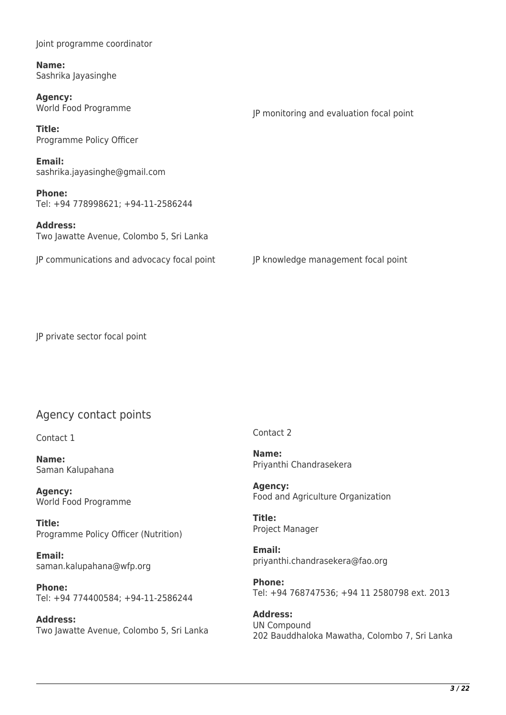Joint programme coordinator

**Name:**  Sashrika Jayasinghe

**Agency:**  World Food Programme

**Title:**  Programme Policy Officer

**Email:**  sashrika.jayasinghe@gmail.com

**Phone:**  Tel: +94 778998621; +94-11-2586244

**Address:**  Two Jawatte Avenue, Colombo 5, Sri Lanka

JP communications and advocacy focal point JP knowledge management focal point

JP monitoring and evaluation focal point

JP private sector focal point

## Agency contact points

Contact 1

**Name:**  Saman Kalupahana

**Agency:**  World Food Programme

**Title:**  Programme Policy Officer (Nutrition)

**Email:**  saman.kalupahana@wfp.org

**Phone:**  Tel: +94 774400584; +94-11-2586244

**Address:**  Two Jawatte Avenue, Colombo 5, Sri Lanka Contact 2

**Name:**  Priyanthi Chandrasekera

**Agency:**  Food and Agriculture Organization

**Title:**  Project Manager

**Email:**  priyanthi.chandrasekera@fao.org

**Phone:**  Tel: +94 768747536; +94 11 2580798 ext. 2013

**Address:**  UN Compound 202 Bauddhaloka Mawatha, Colombo 7, Sri Lanka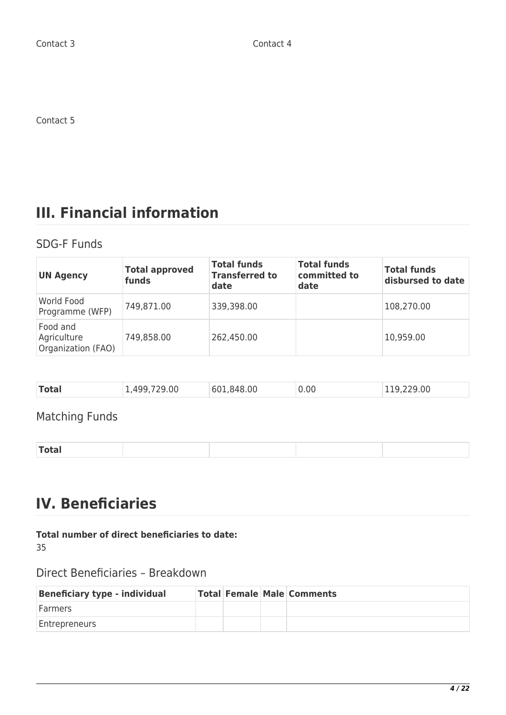Contact 5

# **III. Financial information**

# SDG-F Funds

| <b>UN Agency</b>                              | <b>Total approved</b><br>funds | <b>Total funds</b><br><b>Transferred to</b><br>date | <b>Total funds</b><br>committed to<br>date | <b>Total funds</b><br>disbursed to date |
|-----------------------------------------------|--------------------------------|-----------------------------------------------------|--------------------------------------------|-----------------------------------------|
| World Food<br>Programme (WFP)                 | 749,871.00                     | 339,398.00                                          |                                            | 108,270.00                              |
| Food and<br>Agriculture<br>Organization (FAO) | 749,858.00                     | 262,450.00                                          |                                            | 10,959.00                               |

| Total<br>0 <sup>0</sup><br>0.00<br>.00<br>.848.00<br>601 |
|----------------------------------------------------------|
|----------------------------------------------------------|

# Matching Funds

| $- - - - - - -$ |
|-----------------|
|-----------------|

# **IV. Beneficiaries**

### **Total number of direct beneficiaries to date:**

35

# Direct Beneficiaries – Breakdown

| <b>Beneficiary type - individual</b> |  | <b>Total Female Male Comments</b> |
|--------------------------------------|--|-----------------------------------|
| <b>Farmers</b>                       |  |                                   |
| Entrepreneurs                        |  |                                   |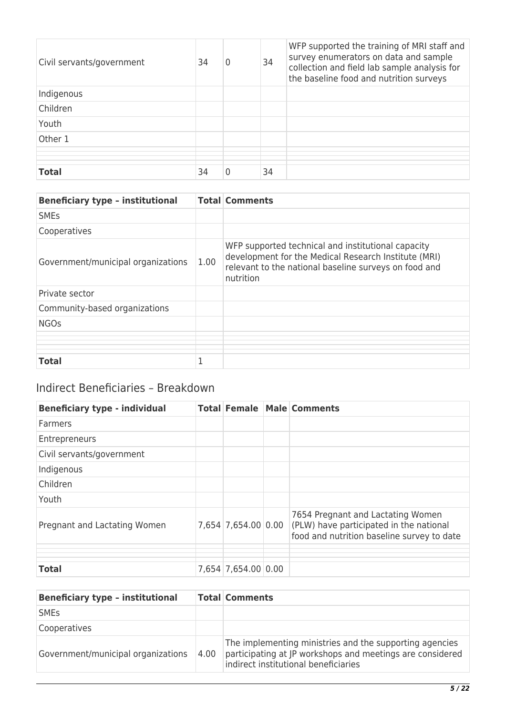| Civil servants/government | 34 | $\mathbf{0}$ | 34 | WFP supported the training of MRI staff and<br>survey enumerators on data and sample<br>collection and field lab sample analysis for<br>the baseline food and nutrition surveys |
|---------------------------|----|--------------|----|---------------------------------------------------------------------------------------------------------------------------------------------------------------------------------|
| Indigenous                |    |              |    |                                                                                                                                                                                 |
| Children                  |    |              |    |                                                                                                                                                                                 |
| Youth                     |    |              |    |                                                                                                                                                                                 |
| Other 1                   |    |              |    |                                                                                                                                                                                 |
|                           |    |              |    |                                                                                                                                                                                 |
|                           |    |              |    |                                                                                                                                                                                 |
| <b>Total</b>              | 34 | 0            | 34 |                                                                                                                                                                                 |

| <b>Beneficiary type - institutional</b> |      | <b>Total Comments</b>                                                                                                                                                            |
|-----------------------------------------|------|----------------------------------------------------------------------------------------------------------------------------------------------------------------------------------|
| <b>SME<sub>S</sub></b>                  |      |                                                                                                                                                                                  |
| Cooperatives                            |      |                                                                                                                                                                                  |
| Government/municipal organizations      | 1.00 | WFP supported technical and institutional capacity<br>development for the Medical Research Institute (MRI)<br>relevant to the national baseline surveys on food and<br>nutrition |
| Private sector                          |      |                                                                                                                                                                                  |
| Community-based organizations           |      |                                                                                                                                                                                  |
| <b>NGOs</b>                             |      |                                                                                                                                                                                  |
|                                         |      |                                                                                                                                                                                  |
|                                         |      |                                                                                                                                                                                  |
|                                         |      |                                                                                                                                                                                  |
|                                         |      |                                                                                                                                                                                  |
| <b>Total</b>                            | 1    |                                                                                                                                                                                  |

# Indirect Beneficiaries – Breakdown

| <b>Beneficiary type - individual</b> |                     | <b>Total Female Male Comments</b>                                                                                          |
|--------------------------------------|---------------------|----------------------------------------------------------------------------------------------------------------------------|
| <b>Farmers</b>                       |                     |                                                                                                                            |
| Entrepreneurs                        |                     |                                                                                                                            |
| Civil servants/government            |                     |                                                                                                                            |
| Indigenous                           |                     |                                                                                                                            |
| Children                             |                     |                                                                                                                            |
| Youth                                |                     |                                                                                                                            |
| Pregnant and Lactating Women         | 7,654 7,654.00 0.00 | 7654 Pregnant and Lactating Women<br>(PLW) have participated in the national<br>food and nutrition baseline survey to date |
| <b>Total</b>                         | 7,654 7,654.00 0.00 |                                                                                                                            |

| <b>Beneficiary type - institutional</b> |      | <b>Total Comments</b>                                                                                                                                        |
|-----------------------------------------|------|--------------------------------------------------------------------------------------------------------------------------------------------------------------|
| <b>SME<sub>S</sub></b>                  |      |                                                                                                                                                              |
| Cooperatives                            |      |                                                                                                                                                              |
| Government/municipal organizations      | 4.00 | The implementing ministries and the supporting agencies<br>participating at JP workshops and meetings are considered<br>indirect institutional beneficiaries |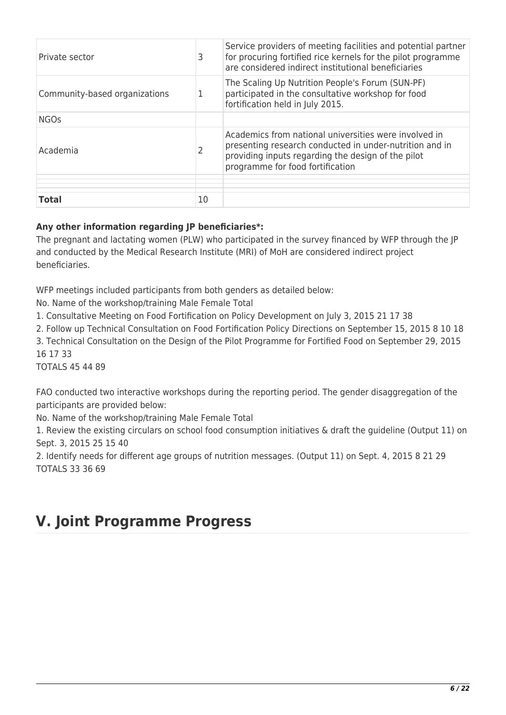| Private sector                | 3  | Service providers of meeting facilities and potential partner<br>for procuring fortified rice kernels for the pilot programme<br>are considered indirect institutional beneficiaries                       |
|-------------------------------|----|------------------------------------------------------------------------------------------------------------------------------------------------------------------------------------------------------------|
| Community-based organizations | 1  | The Scaling Up Nutrition People's Forum (SUN-PF)<br>participated in the consultative workshop for food<br>fortification held in July 2015.                                                                 |
| <b>NGOs</b>                   |    |                                                                                                                                                                                                            |
| Academia                      |    | Academics from national universities were involved in<br>presenting research conducted in under-nutrition and in<br>providing inputs regarding the design of the pilot<br>programme for food fortification |
| <b>Total</b>                  | 10 |                                                                                                                                                                                                            |

## **Any other information regarding JP beneficiaries\*:**

The pregnant and lactating women (PLW) who participated in the survey financed by WFP through the JP and conducted by the Medical Research Institute (MRI) of MoH are considered indirect project beneficiaries.

WFP meetings included participants from both genders as detailed below:

No. Name of the workshop/training Male Female Total

1. Consultative Meeting on Food Fortification on Policy Development on July 3, 2015 21 17 38

2. Follow up Technical Consultation on Food Fortification Policy Directions on September 15, 2015 8 10 18

3. Technical Consultation on the Design of the Pilot Programme for Fortified Food on September 29, 2015 16 17 33

TOTALS 45 44 89

FAO conducted two interactive workshops during the reporting period. The gender disaggregation of the participants are provided below:

No. Name of the workshop/training Male Female Total

1. Review the existing circulars on school food consumption initiatives & draft the guideline (Output 11) on Sept. 3, 2015 25 15 40

2. Identify needs for different age groups of nutrition messages. (Output 11) on Sept. 4, 2015 8 21 29 TOTALS 33 36 69

# **V. Joint Programme Progress**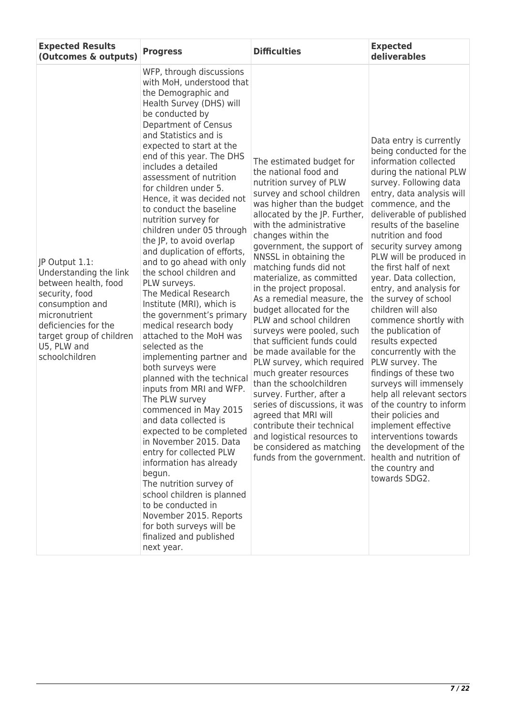| <b>Expected Results</b><br>(Outcomes & outputs)                                                                                                                                                             | <b>Progress</b>                                                                                                                                                                                                                                                                                                                                                                                                                                                                                                                                                                                                                                                                                                                                                                                                                                                                                                                                                                                                                                                                                                                                                                                             | <b>Difficulties</b>                                                                                                                                                                                                                                                                                                                                                                                                                                                                                                                                                                                                                                                                                                                                                                                                                                 | <b>Expected</b><br>deliverables                                                                                                                                                                                                                                                                                                                                                                                                                                                                                                                                                                                                                                                                                                                                                                                                            |
|-------------------------------------------------------------------------------------------------------------------------------------------------------------------------------------------------------------|-------------------------------------------------------------------------------------------------------------------------------------------------------------------------------------------------------------------------------------------------------------------------------------------------------------------------------------------------------------------------------------------------------------------------------------------------------------------------------------------------------------------------------------------------------------------------------------------------------------------------------------------------------------------------------------------------------------------------------------------------------------------------------------------------------------------------------------------------------------------------------------------------------------------------------------------------------------------------------------------------------------------------------------------------------------------------------------------------------------------------------------------------------------------------------------------------------------|-----------------------------------------------------------------------------------------------------------------------------------------------------------------------------------------------------------------------------------------------------------------------------------------------------------------------------------------------------------------------------------------------------------------------------------------------------------------------------------------------------------------------------------------------------------------------------------------------------------------------------------------------------------------------------------------------------------------------------------------------------------------------------------------------------------------------------------------------------|--------------------------------------------------------------------------------------------------------------------------------------------------------------------------------------------------------------------------------------------------------------------------------------------------------------------------------------------------------------------------------------------------------------------------------------------------------------------------------------------------------------------------------------------------------------------------------------------------------------------------------------------------------------------------------------------------------------------------------------------------------------------------------------------------------------------------------------------|
| JP Output 1.1:<br>Understanding the link<br>between health, food<br>security, food<br>consumption and<br>micronutrient<br>deficiencies for the<br>target group of children<br>U5, PLW and<br>schoolchildren | WFP, through discussions<br>with MoH, understood that<br>the Demographic and<br>Health Survey (DHS) will<br>be conducted by<br>Department of Census<br>and Statistics and is<br>expected to start at the<br>end of this year. The DHS<br>includes a detailed<br>assessment of nutrition<br>for children under 5.<br>Hence, it was decided not<br>to conduct the baseline<br>nutrition survey for<br>children under 05 through<br>the JP, to avoid overlap<br>and duplication of efforts,<br>and to go ahead with only<br>the school children and<br>PLW surveys.<br>The Medical Research<br>Institute (MRI), which is<br>the government's primary<br>medical research body<br>attached to the MoH was<br>selected as the<br>implementing partner and<br>both surveys were<br>planned with the technical<br>inputs from MRI and WFP.<br>The PLW survey<br>commenced in May 2015<br>and data collected is<br>expected to be completed<br>in November 2015, Data<br>entry for collected PLW<br>information has already<br>begun.<br>The nutrition survey of<br>school children is planned<br>to be conducted in<br>November 2015. Reports<br>for both surveys will be<br>finalized and published<br>next year. | The estimated budget for<br>the national food and<br>nutrition survey of PLW<br>survey and school children<br>was higher than the budget<br>allocated by the JP. Further,<br>with the administrative<br>changes within the<br>government, the support of<br>NNSSL in obtaining the<br>matching funds did not<br>materialize, as committed<br>in the project proposal.<br>As a remedial measure, the<br>budget allocated for the<br>PLW and school children<br>surveys were pooled, such<br>that sufficient funds could<br>be made available for the<br>PLW survey, which required<br>much greater resources<br>than the schoolchildren<br>survey. Further, after a<br>series of discussions, it was<br>agreed that MRI will<br>contribute their technical<br>and logistical resources to<br>be considered as matching<br>funds from the government. | Data entry is currently<br>being conducted for the<br>information collected<br>during the national PLW<br>survey. Following data<br>entry, data analysis will<br>commence, and the<br>deliverable of published<br>results of the baseline<br>nutrition and food<br>security survey among<br>PLW will be produced in<br>the first half of next<br>year. Data collection,<br>entry, and analysis for<br>the survey of school<br>children will also<br>commence shortly with<br>the publication of<br>results expected<br>concurrently with the<br>PLW survey. The<br>findings of these two<br>surveys will immensely<br>help all relevant sectors<br>of the country to inform<br>their policies and<br>implement effective<br>interventions towards<br>the development of the<br>health and nutrition of<br>the country and<br>towards SDG2. |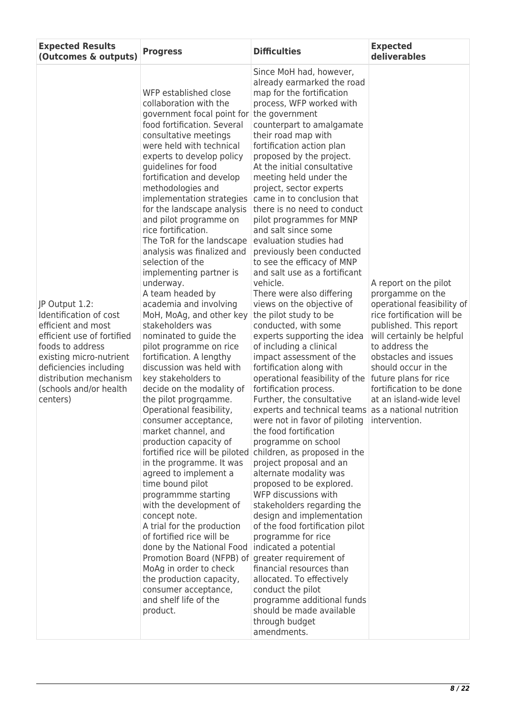| <b>Expected Results</b><br>(Outcomes & outputs)                                                                                                                                                                                       | <b>Progress</b>                                                                                                                                                                                                                                                                                                                                                                                                                                                                                                                                                                                                                                                                                                                                                                                                                                                                                                                                                                                                                                                                                                                                                                                                                                                                                                               | <b>Difficulties</b>                                                                                                                                                                                                                                                                                                                                                                                                                                                                                                                                                                                                                                                                                                                                                                                                                                                                                                                                                                                                                                                                                                                                                                                                                                                                                                                                                                                                                                                                                                 | <b>Expected</b><br>deliverables                                                                                                                                                                                                                                                                                                                           |
|---------------------------------------------------------------------------------------------------------------------------------------------------------------------------------------------------------------------------------------|-------------------------------------------------------------------------------------------------------------------------------------------------------------------------------------------------------------------------------------------------------------------------------------------------------------------------------------------------------------------------------------------------------------------------------------------------------------------------------------------------------------------------------------------------------------------------------------------------------------------------------------------------------------------------------------------------------------------------------------------------------------------------------------------------------------------------------------------------------------------------------------------------------------------------------------------------------------------------------------------------------------------------------------------------------------------------------------------------------------------------------------------------------------------------------------------------------------------------------------------------------------------------------------------------------------------------------|---------------------------------------------------------------------------------------------------------------------------------------------------------------------------------------------------------------------------------------------------------------------------------------------------------------------------------------------------------------------------------------------------------------------------------------------------------------------------------------------------------------------------------------------------------------------------------------------------------------------------------------------------------------------------------------------------------------------------------------------------------------------------------------------------------------------------------------------------------------------------------------------------------------------------------------------------------------------------------------------------------------------------------------------------------------------------------------------------------------------------------------------------------------------------------------------------------------------------------------------------------------------------------------------------------------------------------------------------------------------------------------------------------------------------------------------------------------------------------------------------------------------|-----------------------------------------------------------------------------------------------------------------------------------------------------------------------------------------------------------------------------------------------------------------------------------------------------------------------------------------------------------|
| JP Output 1.2:<br>Identification of cost<br>efficient and most<br>efficient use of fortified<br>foods to address<br>existing micro-nutrient<br>deficiencies including<br>distribution mechanism<br>(schools and/or health<br>centers) | WFP established close<br>collaboration with the<br>government focal point for<br>food fortification. Several<br>consultative meetings<br>were held with technical<br>experts to develop policy<br>guidelines for food<br>fortification and develop<br>methodologies and<br>implementation strategies<br>for the landscape analysis<br>and pilot programme on<br>rice fortification.<br>The ToR for the landscape<br>analysis was finalized and<br>selection of the<br>implementing partner is<br>underway.<br>A team headed by<br>academia and involving<br>MoH, MoAg, and other key<br>stakeholders was<br>nominated to guide the<br>pilot programme on rice<br>fortification. A lengthy<br>discussion was held with<br>key stakeholders to<br>decide on the modality of<br>the pilot progrgamme.<br>Operational feasibility,<br>consumer acceptance,<br>market channel, and<br>production capacity of<br>fortified rice will be piloted<br>in the programme. It was<br>agreed to implement a<br>time bound pilot<br>programmme starting<br>with the development of<br>concept note.<br>A trial for the production<br>of fortified rice will be<br>done by the National Food<br>Promotion Board (NFPB) of<br>MoAg in order to check<br>the production capacity,<br>consumer acceptance,<br>and shelf life of the<br>product. | Since MoH had, however,<br>already earmarked the road<br>map for the fortification<br>process, WFP worked with<br>the government<br>counterpart to amalgamate<br>their road map with<br>fortification action plan<br>proposed by the project.<br>At the initial consultative<br>meeting held under the<br>project, sector experts<br>came in to conclusion that<br>there is no need to conduct<br>pilot programmes for MNP<br>and salt since some<br>evaluation studies had<br>previously been conducted<br>to see the efficacy of MNP<br>and salt use as a fortificant<br>vehicle.<br>There were also differing<br>views on the objective of<br>the pilot study to be<br>conducted, with some<br>experts supporting the idea<br>of including a clinical<br>impact assessment of the<br>fortification along with<br>operational feasibility of the<br>fortification process.<br>Further, the consultative<br>experts and technical teams<br>were not in favor of piloting<br>the food fortification<br>programme on school<br>children, as proposed in the<br>project proposal and an<br>alternate modality was<br>proposed to be explored.<br>WFP discussions with<br>stakeholders regarding the<br>design and implementation<br>of the food fortification pilot<br>programme for rice<br>indicated a potential<br>greater requirement of<br>financial resources than<br>allocated. To effectively<br>conduct the pilot<br>programme additional funds<br>should be made available<br>through budget<br>amendments. | A report on the pilot<br>prorgamme on the<br>operational feasibility of<br>rice fortification will be<br>published. This report<br>will certainly be helpful<br>to address the<br>obstacles and issues<br>should occur in the<br>future plans for rice<br>fortification to be done<br>at an island-wide level<br>as a national nutrition<br>intervention. |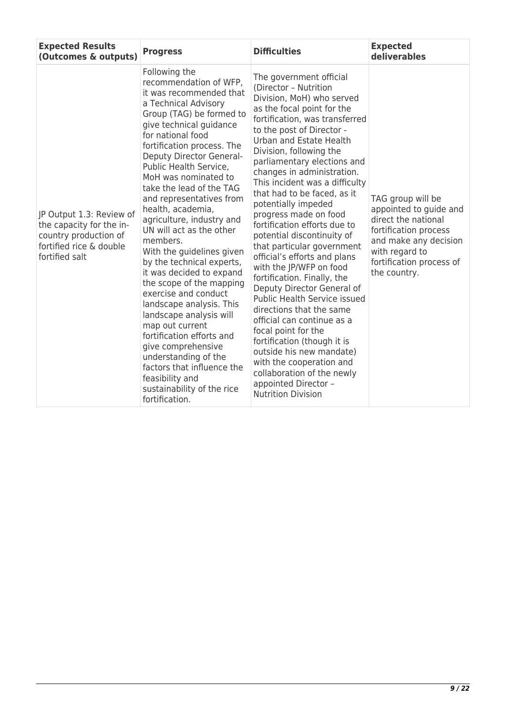| <b>Expected Results</b><br>(Outcomes & outputs)                                                                            | <b>Progress</b>                                                                                                                                                                                                                                                                                                                                                                                                                                                                                                                                                                                                                                                                                                                                                                                                                      | <b>Difficulties</b>                                                                                                                                                                                                                                                                                                                                                                                                                                                                                                                                                                                                                                                                                                                                                                                                                                                                                                           | <b>Expected</b><br>deliverables                                                                                                                                                    |
|----------------------------------------------------------------------------------------------------------------------------|--------------------------------------------------------------------------------------------------------------------------------------------------------------------------------------------------------------------------------------------------------------------------------------------------------------------------------------------------------------------------------------------------------------------------------------------------------------------------------------------------------------------------------------------------------------------------------------------------------------------------------------------------------------------------------------------------------------------------------------------------------------------------------------------------------------------------------------|-------------------------------------------------------------------------------------------------------------------------------------------------------------------------------------------------------------------------------------------------------------------------------------------------------------------------------------------------------------------------------------------------------------------------------------------------------------------------------------------------------------------------------------------------------------------------------------------------------------------------------------------------------------------------------------------------------------------------------------------------------------------------------------------------------------------------------------------------------------------------------------------------------------------------------|------------------------------------------------------------------------------------------------------------------------------------------------------------------------------------|
| JP Output 1.3: Review of<br>the capacity for the in-<br>country production of<br>fortified rice & double<br>fortified salt | Following the<br>recommendation of WFP,<br>it was recommended that<br>a Technical Advisory<br>Group (TAG) be formed to<br>give technical guidance<br>for national food<br>fortification process. The<br>Deputy Director General-<br>Public Health Service,<br>MoH was nominated to<br>take the lead of the TAG<br>and representatives from<br>health, academia,<br>agriculture, industry and<br>UN will act as the other<br>members.<br>With the guidelines given<br>by the technical experts,<br>it was decided to expand<br>the scope of the mapping<br>exercise and conduct<br>landscape analysis. This<br>landscape analysis will<br>map out current<br>fortification efforts and<br>give comprehensive<br>understanding of the<br>factors that influence the<br>feasibility and<br>sustainability of the rice<br>fortification. | The government official<br>(Director - Nutrition<br>Division, MoH) who served<br>as the focal point for the<br>fortification, was transferred<br>to the post of Director -<br>Urban and Estate Health<br>Division, following the<br>parliamentary elections and<br>changes in administration.<br>This incident was a difficulty<br>that had to be faced, as it<br>potentially impeded<br>progress made on food<br>fortification efforts due to<br>potential discontinuity of<br>that particular government<br>official's efforts and plans<br>with the JP/WFP on food<br>fortification. Finally, the<br>Deputy Director General of<br>Public Health Service issued<br>directions that the same<br>official can continue as a<br>focal point for the<br>fortification (though it is<br>outside his new mandate)<br>with the cooperation and<br>collaboration of the newly<br>appointed Director -<br><b>Nutrition Division</b> | TAG group will be<br>appointed to guide and<br>direct the national<br>fortification process<br>and make any decision<br>with regard to<br>fortification process of<br>the country. |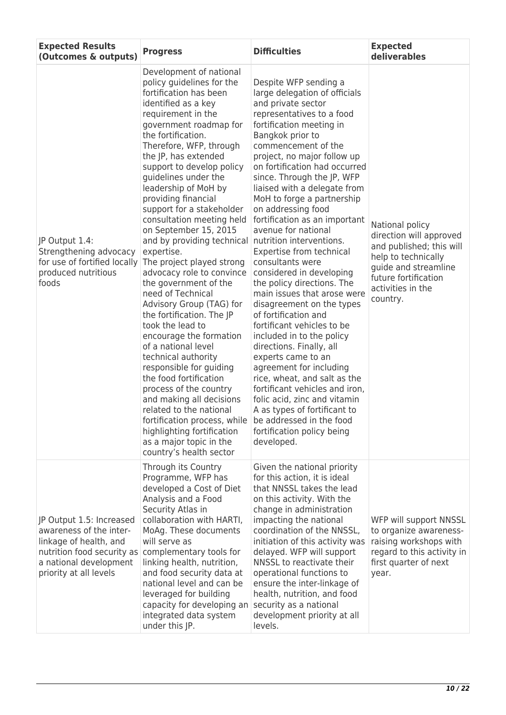| <b>Expected Results</b><br>(Outcomes & outputs)                                                                                                                 | <b>Progress</b>                                                                                                                                                                                                                                                                                                                                                                                                                                                                                                                                                                                                                                                                                                                                                                                                                                                                                                                                                                           | <b>Difficulties</b>                                                                                                                                                                                                                                                                                                                                                                                                                                                                                                                                                                                                                                                                                                                                                                                                                                                                                                                                                                                    | <b>Expected</b><br>deliverables                                                                                                                                                |
|-----------------------------------------------------------------------------------------------------------------------------------------------------------------|-------------------------------------------------------------------------------------------------------------------------------------------------------------------------------------------------------------------------------------------------------------------------------------------------------------------------------------------------------------------------------------------------------------------------------------------------------------------------------------------------------------------------------------------------------------------------------------------------------------------------------------------------------------------------------------------------------------------------------------------------------------------------------------------------------------------------------------------------------------------------------------------------------------------------------------------------------------------------------------------|--------------------------------------------------------------------------------------------------------------------------------------------------------------------------------------------------------------------------------------------------------------------------------------------------------------------------------------------------------------------------------------------------------------------------------------------------------------------------------------------------------------------------------------------------------------------------------------------------------------------------------------------------------------------------------------------------------------------------------------------------------------------------------------------------------------------------------------------------------------------------------------------------------------------------------------------------------------------------------------------------------|--------------------------------------------------------------------------------------------------------------------------------------------------------------------------------|
| JP Output 1.4:<br>Strengthening advocacy<br>for use of fortified locally<br>produced nutritious<br>foods                                                        | Development of national<br>policy guidelines for the<br>fortification has been<br>identified as a key<br>requirement in the<br>government roadmap for<br>the fortification.<br>Therefore, WFP, through<br>the JP, has extended<br>support to develop policy<br>guidelines under the<br>leadership of MoH by<br>providing financial<br>support for a stakeholder<br>consultation meeting held<br>on September 15, 2015<br>and by providing technical<br>expertise.<br>The project played strong<br>advocacy role to convince<br>the government of the<br>need of Technical<br>Advisory Group (TAG) for<br>the fortification. The JP<br>took the lead to<br>encourage the formation<br>of a national level<br>technical authority<br>responsible for guiding<br>the food fortification<br>process of the country<br>and making all decisions<br>related to the national<br>fortification process, while<br>highlighting fortification<br>as a major topic in the<br>country's health sector | Despite WFP sending a<br>large delegation of officials<br>and private sector<br>representatives to a food<br>fortification meeting in<br>Bangkok prior to<br>commencement of the<br>project, no major follow up<br>on fortification had occurred<br>since. Through the JP, WFP<br>liaised with a delegate from<br>MoH to forge a partnership<br>on addressing food<br>fortification as an important<br>avenue for national<br>nutrition interventions.<br>Expertise from technical<br>consultants were<br>considered in developing<br>the policy directions. The<br>main issues that arose were<br>disagreement on the types<br>of fortification and<br>fortificant vehicles to be<br>included in to the policy<br>directions. Finally, all<br>experts came to an<br>agreement for including<br>rice, wheat, and salt as the<br>fortificant vehicles and iron,<br>folic acid, zinc and vitamin<br>A as types of fortificant to<br>be addressed in the food<br>fortification policy being<br>developed. | National policy<br>direction will approved<br>and published; this will<br>help to technically<br>guide and streamline<br>future fortification<br>activities in the<br>country. |
| JP Output 1.5: Increased<br>awareness of the inter-<br>linkage of health, and<br>nutrition food security as<br>a national development<br>priority at all levels | Through its Country<br>Programme, WFP has<br>developed a Cost of Diet<br>Analysis and a Food<br>Security Atlas in<br>collaboration with HARTI,<br>MoAg. These documents<br>will serve as<br>complementary tools for<br>linking health, nutrition,<br>and food security data at<br>national level and can be<br>leveraged for building<br>capacity for developing an<br>integrated data system<br>under this JP.                                                                                                                                                                                                                                                                                                                                                                                                                                                                                                                                                                           | Given the national priority<br>for this action, it is ideal<br>that NNSSL takes the lead<br>on this activity. With the<br>change in administration<br>impacting the national<br>coordination of the NNSSL,<br>initiation of this activity was<br>delayed. WFP will support<br>NNSSL to reactivate their<br>operational functions to<br>ensure the inter-linkage of<br>health, nutrition, and food<br>security as a national<br>development priority at all<br>levels.                                                                                                                                                                                                                                                                                                                                                                                                                                                                                                                                  | WFP will support NNSSL<br>to organize awareness-<br>raising workshops with<br>regard to this activity in<br>first quarter of next<br>year.                                     |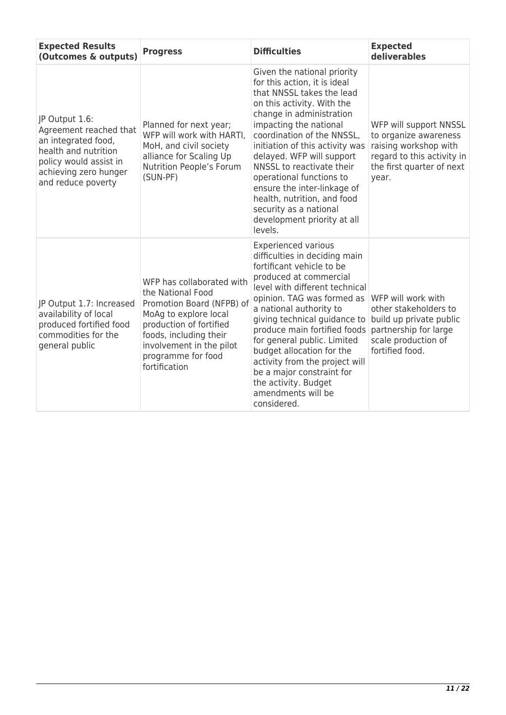| <b>Expected Results</b><br>(Outcomes & outputs)                                                                                                                  | <b>Progress</b>                                                                                                                                                                                                              | <b>Difficulties</b>                                                                                                                                                                                                                                                                                                                                                                                                                                                   | <b>Expected</b><br>deliverables                                                                                                              |
|------------------------------------------------------------------------------------------------------------------------------------------------------------------|------------------------------------------------------------------------------------------------------------------------------------------------------------------------------------------------------------------------------|-----------------------------------------------------------------------------------------------------------------------------------------------------------------------------------------------------------------------------------------------------------------------------------------------------------------------------------------------------------------------------------------------------------------------------------------------------------------------|----------------------------------------------------------------------------------------------------------------------------------------------|
| JP Output 1.6:<br>Agreement reached that<br>an integrated food,<br>health and nutrition<br>policy would assist in<br>achieving zero hunger<br>and reduce poverty | Planned for next year;<br>WFP will work with HARTI.<br>MoH, and civil society<br>alliance for Scaling Up<br>Nutrition People's Forum<br>(SUN-PF)                                                                             | Given the national priority<br>for this action, it is ideal<br>that NNSSL takes the lead<br>on this activity. With the<br>change in administration<br>impacting the national<br>coordination of the NNSSL,<br>initiation of this activity was<br>delayed. WFP will support<br>NNSSL to reactivate their<br>operational functions to<br>ensure the inter-linkage of<br>health, nutrition, and food<br>security as a national<br>development priority at all<br>levels. | WFP will support NNSSL<br>to organize awareness<br>raising workshop with<br>regard to this activity in<br>the first quarter of next<br>year. |
| JP Output 1.7: Increased<br>availability of local<br>produced fortified food<br>commodities for the<br>general public                                            | WFP has collaborated with<br>the National Food<br>Promotion Board (NFPB) of<br>MoAg to explore local<br>production of fortified<br>foods, including their<br>involvement in the pilot<br>programme for food<br>fortification | <b>Experienced various</b><br>difficulties in deciding main<br>fortificant vehicle to be<br>produced at commercial<br>level with different technical<br>opinion. TAG was formed as<br>a national authority to<br>giving technical guidance to<br>produce main fortified foods<br>for general public. Limited<br>budget allocation for the<br>activity from the project will<br>be a major constraint for<br>the activity. Budget<br>amendments will be<br>considered. | WFP will work with<br>other stakeholders to<br>build up private public<br>partnership for large<br>scale production of<br>fortified food.    |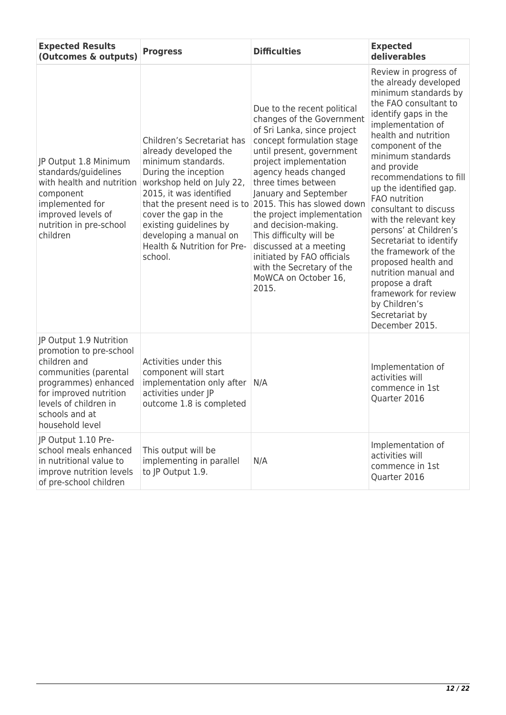| <b>Expected Results</b><br>(Outcomes & outputs)                                                                                                                                                             | <b>Progress</b>                                                                                                                                                                                                                                                                 | <b>Difficulties</b>                                                                                                                                                                                                                                                                                                                                                                                                                                                                                                  | <b>Expected</b><br>deliverables                                                                                                                                                                                                                                                                                                                                                                                                                                                                                                                                                  |
|-------------------------------------------------------------------------------------------------------------------------------------------------------------------------------------------------------------|---------------------------------------------------------------------------------------------------------------------------------------------------------------------------------------------------------------------------------------------------------------------------------|----------------------------------------------------------------------------------------------------------------------------------------------------------------------------------------------------------------------------------------------------------------------------------------------------------------------------------------------------------------------------------------------------------------------------------------------------------------------------------------------------------------------|----------------------------------------------------------------------------------------------------------------------------------------------------------------------------------------------------------------------------------------------------------------------------------------------------------------------------------------------------------------------------------------------------------------------------------------------------------------------------------------------------------------------------------------------------------------------------------|
| JP Output 1.8 Minimum<br>standards/guidelines<br>with health and nutrition<br>component<br>implemented for<br>improved levels of<br>nutrition in pre-school<br>children                                     | Children's Secretariat has<br>already developed the<br>minimum standards.<br>During the inception<br>workshop held on July 22,<br>2015, it was identified<br>cover the gap in the<br>existing guidelines by<br>developing a manual on<br>Health & Nutrition for Pre-<br>school. | Due to the recent political<br>changes of the Government<br>of Sri Lanka, since project<br>concept formulation stage<br>until present, government<br>project implementation<br>agency heads changed<br>three times between<br>January and September<br>that the present need is to 2015. This has slowed down<br>the project implementation<br>and decision-making.<br>This difficulty will be<br>discussed at a meeting<br>initiated by FAO officials<br>with the Secretary of the<br>MoWCA on October 16,<br>2015. | Review in progress of<br>the already developed<br>minimum standards by<br>the FAO consultant to<br>identify gaps in the<br>implementation of<br>health and nutrition<br>component of the<br>minimum standards<br>and provide<br>recommendations to fill<br>up the identified gap.<br>FAO nutrition<br>consultant to discuss<br>with the relevant key<br>persons' at Children's<br>Secretariat to identify<br>the framework of the<br>proposed health and<br>nutrition manual and<br>propose a draft<br>framework for review<br>by Children's<br>Secretariat by<br>December 2015. |
| JP Output 1.9 Nutrition<br>promotion to pre-school<br>children and<br>communities (parental<br>programmes) enhanced<br>for improved nutrition<br>levels of children in<br>schools and at<br>household level | Activities under this<br>component will start<br>implementation only after<br>activities under JP<br>outcome 1.8 is completed                                                                                                                                                   | N/A                                                                                                                                                                                                                                                                                                                                                                                                                                                                                                                  | Implementation of<br>activities will<br>commence in 1st<br>Quarter 2016                                                                                                                                                                                                                                                                                                                                                                                                                                                                                                          |
| JP Output 1.10 Pre-<br>school meals enhanced<br>in nutritional value to<br>improve nutrition levels<br>of pre-school children                                                                               | This output will be<br>implementing in parallel<br>to JP Output 1.9.                                                                                                                                                                                                            | N/A                                                                                                                                                                                                                                                                                                                                                                                                                                                                                                                  | Implementation of<br>activities will<br>commence in 1st<br>Quarter 2016                                                                                                                                                                                                                                                                                                                                                                                                                                                                                                          |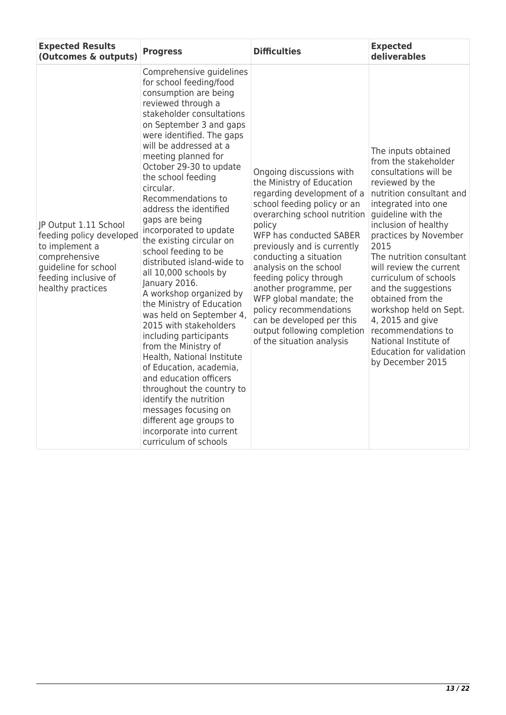| <b>Expected Results</b><br>(Outcomes & outputs)                                                                                                           | <b>Progress</b>                                                                                                                                                                                                                                                                                                                                                                                                                                                                                                                                                                                                                                                                                                                                                                                                                                                                                                                                  | <b>Difficulties</b>                                                                                                                                                                                                                                                                                                                                                                                                                                                          | <b>Expected</b><br>deliverables                                                                                                                                                                                                                                                                                                                                                                                                                                                                           |
|-----------------------------------------------------------------------------------------------------------------------------------------------------------|--------------------------------------------------------------------------------------------------------------------------------------------------------------------------------------------------------------------------------------------------------------------------------------------------------------------------------------------------------------------------------------------------------------------------------------------------------------------------------------------------------------------------------------------------------------------------------------------------------------------------------------------------------------------------------------------------------------------------------------------------------------------------------------------------------------------------------------------------------------------------------------------------------------------------------------------------|------------------------------------------------------------------------------------------------------------------------------------------------------------------------------------------------------------------------------------------------------------------------------------------------------------------------------------------------------------------------------------------------------------------------------------------------------------------------------|-----------------------------------------------------------------------------------------------------------------------------------------------------------------------------------------------------------------------------------------------------------------------------------------------------------------------------------------------------------------------------------------------------------------------------------------------------------------------------------------------------------|
| JP Output 1.11 School<br>feeding policy developed<br>to implement a<br>comprehensive<br>quideline for school<br>feeding inclusive of<br>healthy practices | Comprehensive guidelines<br>for school feeding/food<br>consumption are being<br>reviewed through a<br>stakeholder consultations<br>on September 3 and gaps<br>were identified. The gaps<br>will be addressed at a<br>meeting planned for<br>October 29-30 to update<br>the school feeding<br>circular.<br>Recommendations to<br>address the identified<br>gaps are being<br>incorporated to update<br>the existing circular on<br>school feeding to be<br>distributed island-wide to<br>all 10,000 schools by<br>January 2016.<br>A workshop organized by<br>the Ministry of Education<br>was held on September 4,<br>2015 with stakeholders<br>including participants<br>from the Ministry of<br>Health, National Institute<br>of Education, academia,<br>and education officers<br>throughout the country to<br>identify the nutrition<br>messages focusing on<br>different age groups to<br>incorporate into current<br>curriculum of schools | Ongoing discussions with<br>the Ministry of Education<br>regarding development of a<br>school feeding policy or an<br>overarching school nutrition<br>policy<br>WFP has conducted SABER<br>previously and is currently<br>conducting a situation<br>analysis on the school<br>feeding policy through<br>another programme, per<br>WFP global mandate; the<br>policy recommendations<br>can be developed per this<br>output following completion<br>of the situation analysis | The inputs obtained<br>from the stakeholder<br>consultations will be<br>reviewed by the<br>nutrition consultant and<br>integrated into one<br>quideline with the<br>inclusion of healthy<br>practices by November<br>2015<br>The nutrition consultant<br>will review the current<br>curriculum of schools<br>and the suggestions<br>obtained from the<br>workshop held on Sept.<br>4, 2015 and give<br>recommendations to<br>National Institute of<br><b>Education for validation</b><br>by December 2015 |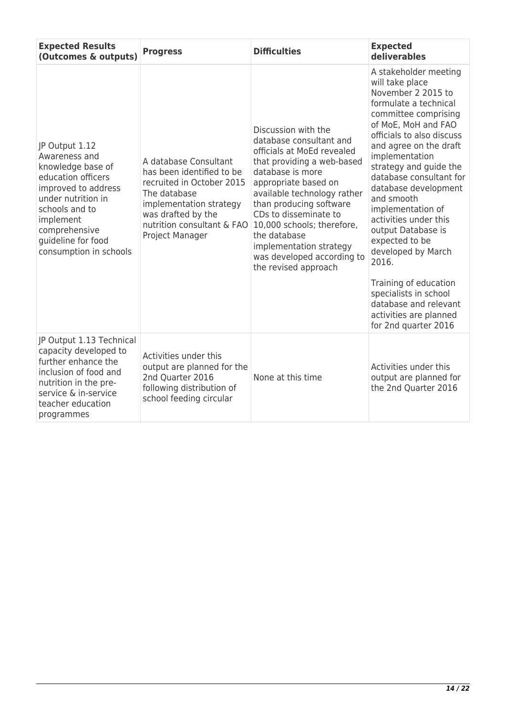| <b>Expected Results</b><br>(Outcomes & outputs)                                                                                                                                                                         | <b>Progress</b>                                                                                                                                                                                   | <b>Difficulties</b>                                                                                                                                                                                                                                                                                                                                                      | <b>Expected</b><br>deliverables                                                                                                                                                                                                                                                                                                                                                                                                                                                                                                                              |
|-------------------------------------------------------------------------------------------------------------------------------------------------------------------------------------------------------------------------|---------------------------------------------------------------------------------------------------------------------------------------------------------------------------------------------------|--------------------------------------------------------------------------------------------------------------------------------------------------------------------------------------------------------------------------------------------------------------------------------------------------------------------------------------------------------------------------|--------------------------------------------------------------------------------------------------------------------------------------------------------------------------------------------------------------------------------------------------------------------------------------------------------------------------------------------------------------------------------------------------------------------------------------------------------------------------------------------------------------------------------------------------------------|
| JP Output 1.12<br>Awareness and<br>knowledge base of<br>education officers<br>improved to address<br>under nutrition in<br>schools and to<br>implement<br>comprehensive<br>guideline for food<br>consumption in schools | A database Consultant<br>has been identified to be<br>recruited in October 2015<br>The database<br>implementation strategy<br>was drafted by the<br>nutrition consultant & FAO<br>Project Manager | Discussion with the<br>database consultant and<br>officials at MoEd revealed<br>that providing a web-based<br>database is more<br>appropriate based on<br>available technology rather<br>than producing software<br>CDs to disseminate to<br>10,000 schools; therefore,<br>the database<br>implementation strategy<br>was developed according to<br>the revised approach | A stakeholder meeting<br>will take place<br>November 2 2015 to<br>formulate a technical<br>committee comprising<br>of MoE, MoH and FAO<br>officials to also discuss<br>and agree on the draft<br>implementation<br>strategy and guide the<br>database consultant for<br>database development<br>and smooth<br>implementation of<br>activities under this<br>output Database is<br>expected to be<br>developed by March<br>2016.<br>Training of education<br>specialists in school<br>database and relevant<br>activities are planned<br>for 2nd quarter 2016 |
| JP Output 1.13 Technical<br>capacity developed to<br>further enhance the<br>inclusion of food and<br>nutrition in the pre-<br>service & in-service<br>teacher education<br>programmes                                   | Activities under this<br>output are planned for the<br>2nd Quarter 2016<br>following distribution of<br>school feeding circular                                                                   | None at this time                                                                                                                                                                                                                                                                                                                                                        | Activities under this<br>output are planned for<br>the 2nd Quarter 2016                                                                                                                                                                                                                                                                                                                                                                                                                                                                                      |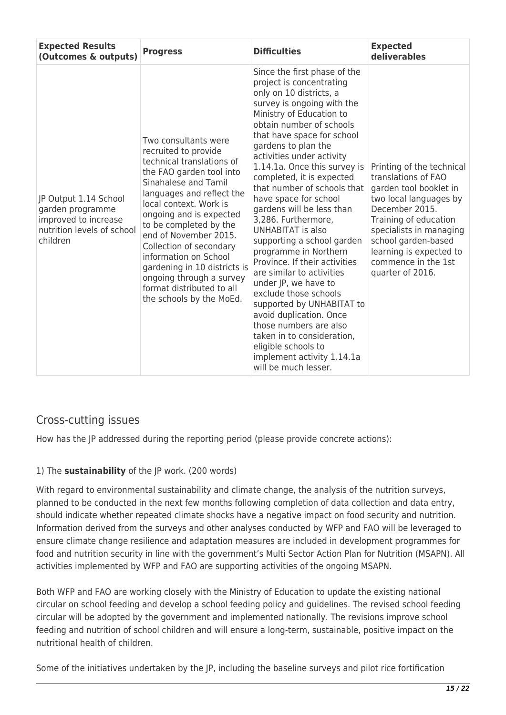| <b>Expected Results</b><br>(Outcomes & outputs)                                                             | <b>Progress</b>                                                                                                                                                                                                                                                                                                                                                                                                                             | <b>Difficulties</b>                                                                                                                                                                                                                                                                                                                                                                                                                                                                                                                                                                                                                                                                                                                                                                                                                 | <b>Expected</b><br>deliverables                                                                                                                                                                                                                                         |
|-------------------------------------------------------------------------------------------------------------|---------------------------------------------------------------------------------------------------------------------------------------------------------------------------------------------------------------------------------------------------------------------------------------------------------------------------------------------------------------------------------------------------------------------------------------------|-------------------------------------------------------------------------------------------------------------------------------------------------------------------------------------------------------------------------------------------------------------------------------------------------------------------------------------------------------------------------------------------------------------------------------------------------------------------------------------------------------------------------------------------------------------------------------------------------------------------------------------------------------------------------------------------------------------------------------------------------------------------------------------------------------------------------------------|-------------------------------------------------------------------------------------------------------------------------------------------------------------------------------------------------------------------------------------------------------------------------|
| JP Output 1.14 School<br>garden programme<br>improved to increase<br>nutrition levels of school<br>children | Two consultants were<br>recruited to provide<br>technical translations of<br>the FAO garden tool into<br>Sinahalese and Tamil<br>languages and reflect the<br>local context. Work is<br>ongoing and is expected<br>to be completed by the<br>end of November 2015.<br>Collection of secondary<br>information on School<br>gardening in 10 districts is<br>ongoing through a survey<br>format distributed to all<br>the schools by the MoEd. | Since the first phase of the<br>project is concentrating<br>only on 10 districts, a<br>survey is ongoing with the<br>Ministry of Education to<br>obtain number of schools<br>that have space for school<br>gardens to plan the<br>activities under activity<br>1.14.1a. Once this survey is<br>completed, it is expected<br>that number of schools that<br>have space for school<br>gardens will be less than<br>3,286. Furthermore,<br><b>UNHABITAT is also</b><br>supporting a school garden<br>programme in Northern<br>Province. If their activities<br>are similar to activities<br>under JP, we have to<br>exclude those schools<br>supported by UNHABITAT to<br>avoid duplication. Once<br>those numbers are also<br>taken in to consideration,<br>eligible schools to<br>implement activity 1.14.1a<br>will be much lesser. | Printing of the technical<br>translations of FAO<br>garden tool booklet in<br>two local languages by<br>December 2015.<br>Training of education<br>specialists in managing<br>school garden-based<br>learning is expected to<br>commence in the 1st<br>quarter of 2016. |

# Cross-cutting issues

How has the JP addressed during the reporting period (please provide concrete actions):

### 1) The **sustainability** of the JP work. (200 words)

With regard to environmental sustainability and climate change, the analysis of the nutrition surveys, planned to be conducted in the next few months following completion of data collection and data entry, should indicate whether repeated climate shocks have a negative impact on food security and nutrition. Information derived from the surveys and other analyses conducted by WFP and FAO will be leveraged to ensure climate change resilience and adaptation measures are included in development programmes for food and nutrition security in line with the government's Multi Sector Action Plan for Nutrition (MSAPN). All activities implemented by WFP and FAO are supporting activities of the ongoing MSAPN.

Both WFP and FAO are working closely with the Ministry of Education to update the existing national circular on school feeding and develop a school feeding policy and guidelines. The revised school feeding circular will be adopted by the government and implemented nationally. The revisions improve school feeding and nutrition of school children and will ensure a long-term, sustainable, positive impact on the nutritional health of children.

Some of the initiatives undertaken by the JP, including the baseline surveys and pilot rice fortification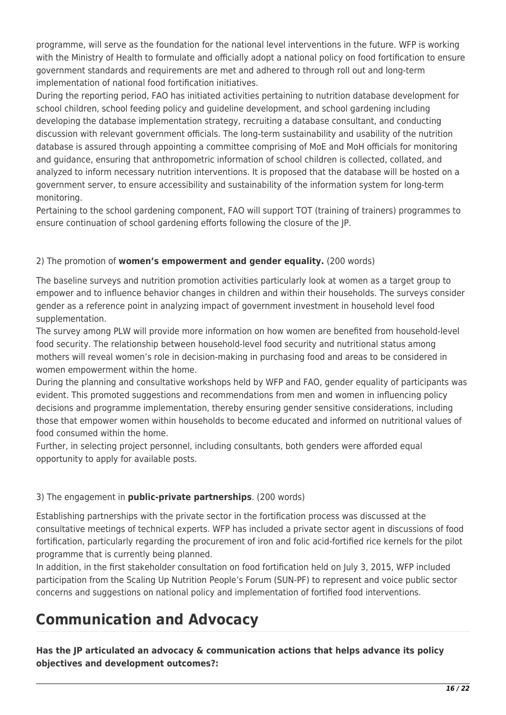programme, will serve as the foundation for the national level interventions in the future. WFP is working with the Ministry of Health to formulate and officially adopt a national policy on food fortification to ensure government standards and requirements are met and adhered to through roll out and long-term implementation of national food fortification initiatives.

During the reporting period, FAO has initiated activities pertaining to nutrition database development for school children, school feeding policy and guideline development, and school gardening including developing the database implementation strategy, recruiting a database consultant, and conducting discussion with relevant government officials. The long-term sustainability and usability of the nutrition database is assured through appointing a committee comprising of MoE and MoH officials for monitoring and guidance, ensuring that anthropometric information of school children is collected, collated, and analyzed to inform necessary nutrition interventions. It is proposed that the database will be hosted on a government server, to ensure accessibility and sustainability of the information system for long-term monitoring.

Pertaining to the school gardening component, FAO will support TOT (training of trainers) programmes to ensure continuation of school gardening efforts following the closure of the JP.

## 2) The promotion of **women's empowerment and gender equality.** (200 words)

The baseline surveys and nutrition promotion activities particularly look at women as a target group to empower and to influence behavior changes in children and within their households. The surveys consider gender as a reference point in analyzing impact of government investment in household level food supplementation.

The survey among PLW will provide more information on how women are benefited from household-level food security. The relationship between household-level food security and nutritional status among mothers will reveal women's role in decision-making in purchasing food and areas to be considered in women empowerment within the home.

During the planning and consultative workshops held by WFP and FAO, gender equality of participants was evident. This promoted suggestions and recommendations from men and women in influencing policy decisions and programme implementation, thereby ensuring gender sensitive considerations, including those that empower women within households to become educated and informed on nutritional values of food consumed within the home.

Further, in selecting project personnel, including consultants, both genders were afforded equal opportunity to apply for available posts.

### 3) The engagement in **public-private partnerships**. (200 words)

Establishing partnerships with the private sector in the fortification process was discussed at the consultative meetings of technical experts. WFP has included a private sector agent in discussions of food fortification, particularly regarding the procurement of iron and folic acid-fortified rice kernels for the pilot programme that is currently being planned.

In addition, in the first stakeholder consultation on food fortification held on July 3, 2015, WFP included participation from the Scaling Up Nutrition People's Forum (SUN-PF) to represent and voice public sector concerns and suggestions on national policy and implementation of fortified food interventions.

# **Communication and Advocacy**

**Has the JP articulated an advocacy & communication actions that helps advance its policy objectives and development outcomes?:**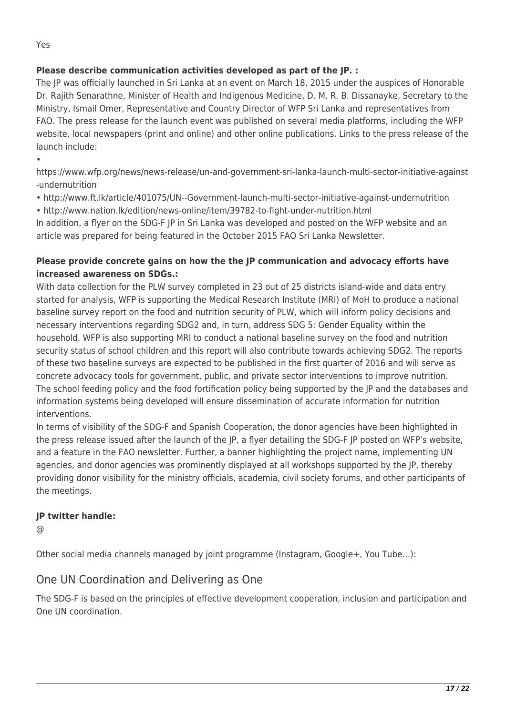## **Please describe communication activities developed as part of the JP. :**

The JP was officially launched in Sri Lanka at an event on March 18, 2015 under the auspices of Honorable Dr. Rajith Senarathne, Minister of Health and Indigenous Medicine, D. M. R. B. Dissanayke, Secretary to the Ministry, Ismail Omer, Representative and Country Director of WFP Sri Lanka and representatives from FAO. The press release for the launch event was published on several media platforms, including the WFP website, local newspapers (print and online) and other online publications. Links to the press release of the launch include:

https://www.wfp.org/news/news-release/un-and-government-sri-lanka-launch-multi-sector-initiative-against -undernutrition

- http://www.ft.lk/article/401075/UN--Government-launch-multi-sector-initiative-against-undernutrition
- http://www.nation.lk/edition/news-online/item/39782-to-fight-under-nutrition.html

In addition, a flyer on the SDG-F JP in Sri Lanka was developed and posted on the WFP website and an article was prepared for being featured in the October 2015 FAO Sri Lanka Newsletter.

### **Please provide concrete gains on how the the JP communication and advocacy efforts have increased awareness on SDGs.:**

With data collection for the PLW survey completed in 23 out of 25 districts island-wide and data entry started for analysis, WFP is supporting the Medical Research Institute (MRI) of MoH to produce a national baseline survey report on the food and nutrition security of PLW, which will inform policy decisions and necessary interventions regarding SDG2 and, in turn, address SDG 5: Gender Equality within the household. WFP is also supporting MRI to conduct a national baseline survey on the food and nutrition security status of school children and this report will also contribute towards achieving SDG2. The reports of these two baseline surveys are expected to be published in the first quarter of 2016 and will serve as concrete advocacy tools for government, public, and private sector interventions to improve nutrition. The school feeding policy and the food fortification policy being supported by the JP and the databases and information systems being developed will ensure dissemination of accurate information for nutrition interventions.

In terms of visibility of the SDG-F and Spanish Cooperation, the donor agencies have been highlighted in the press release issued after the launch of the JP, a flyer detailing the SDG-F JP posted on WFP's website, and a feature in the FAO newsletter. Further, a banner highlighting the project name, implementing UN agencies, and donor agencies was prominently displayed at all workshops supported by the JP, thereby providing donor visibility for the ministry officials, academia, civil society forums, and other participants of the meetings.

### **JP twitter handle:**

@

Other social media channels managed by joint programme (Instagram, Google+, You Tube…):

## One UN Coordination and Delivering as One

The SDG-F is based on the principles of effective development cooperation, inclusion and participation and One UN coordination.

•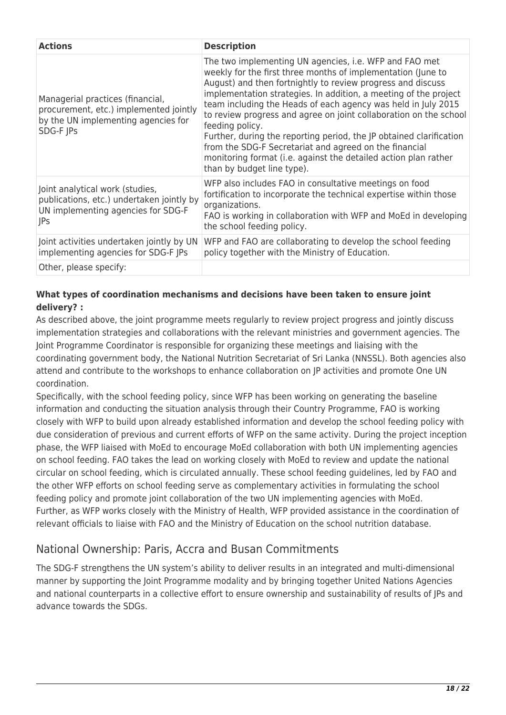| <b>Actions</b>                                                                                                                   | <b>Description</b>                                                                                                                                                                                                                                                                                                                                                                                                                                                                                                                                                                                                                                   |
|----------------------------------------------------------------------------------------------------------------------------------|------------------------------------------------------------------------------------------------------------------------------------------------------------------------------------------------------------------------------------------------------------------------------------------------------------------------------------------------------------------------------------------------------------------------------------------------------------------------------------------------------------------------------------------------------------------------------------------------------------------------------------------------------|
| Managerial practices (financial,<br>procurement, etc.) implemented jointly<br>by the UN implementing agencies for<br>SDG-F JPs   | The two implementing UN agencies, i.e. WFP and FAO met<br>weekly for the first three months of implementation (June to<br>August) and then fortnightly to review progress and discuss<br>implementation strategies. In addition, a meeting of the project<br>team including the Heads of each agency was held in July 2015<br>to review progress and agree on joint collaboration on the school<br>feeding policy.<br>Further, during the reporting period, the JP obtained clarification<br>from the SDG-F Secretariat and agreed on the financial<br>monitoring format (i.e. against the detailed action plan rather<br>than by budget line type). |
| Joint analytical work (studies,<br>publications, etc.) undertaken jointly by<br>UN implementing agencies for SDG-F<br><b>JPs</b> | WFP also includes FAO in consultative meetings on food<br>fortification to incorporate the technical expertise within those<br>organizations.<br>FAO is working in collaboration with WFP and MoEd in developing<br>the school feeding policy.                                                                                                                                                                                                                                                                                                                                                                                                       |
| Joint activities undertaken jointly by UN<br>implementing agencies for SDG-F JPs                                                 | WFP and FAO are collaborating to develop the school feeding<br>policy together with the Ministry of Education.                                                                                                                                                                                                                                                                                                                                                                                                                                                                                                                                       |
| Other, please specify:                                                                                                           |                                                                                                                                                                                                                                                                                                                                                                                                                                                                                                                                                                                                                                                      |

### **What types of coordination mechanisms and decisions have been taken to ensure joint delivery? :**

As described above, the joint programme meets regularly to review project progress and jointly discuss implementation strategies and collaborations with the relevant ministries and government agencies. The Joint Programme Coordinator is responsible for organizing these meetings and liaising with the coordinating government body, the National Nutrition Secretariat of Sri Lanka (NNSSL). Both agencies also attend and contribute to the workshops to enhance collaboration on JP activities and promote One UN coordination.

Specifically, with the school feeding policy, since WFP has been working on generating the baseline information and conducting the situation analysis through their Country Programme, FAO is working closely with WFP to build upon already established information and develop the school feeding policy with due consideration of previous and current efforts of WFP on the same activity. During the project inception phase, the WFP liaised with MoEd to encourage MoEd collaboration with both UN implementing agencies on school feeding. FAO takes the lead on working closely with MoEd to review and update the national circular on school feeding, which is circulated annually. These school feeding guidelines, led by FAO and the other WFP efforts on school feeding serve as complementary activities in formulating the school feeding policy and promote joint collaboration of the two UN implementing agencies with MoEd. Further, as WFP works closely with the Ministry of Health, WFP provided assistance in the coordination of relevant officials to liaise with FAO and the Ministry of Education on the school nutrition database.

# National Ownership: Paris, Accra and Busan Commitments

The SDG-F strengthens the UN system's ability to deliver results in an integrated and multi-dimensional manner by supporting the Joint Programme modality and by bringing together United Nations Agencies and national counterparts in a collective effort to ensure ownership and sustainability of results of JPs and advance towards the SDGs.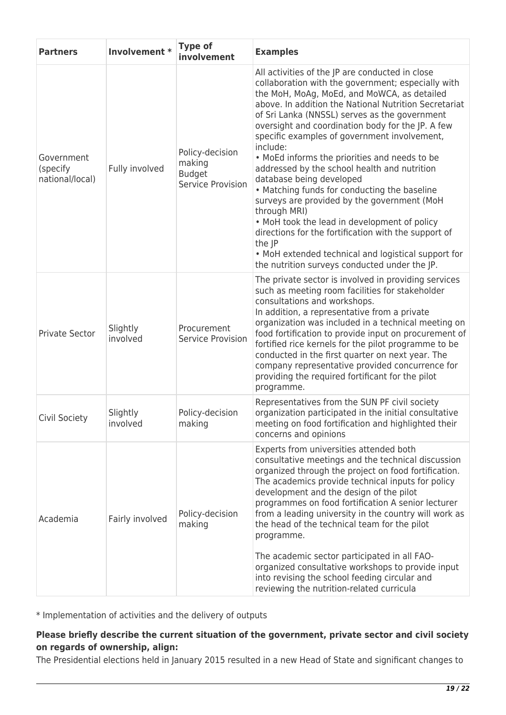| <b>Partners</b>                           | Involvement *        | <b>Type of</b><br>involvement                                   | <b>Examples</b>                                                                                                                                                                                                                                                                                                                                                                                                                                                                                                                                                                                                                                                                                                                                                                                                                                       |
|-------------------------------------------|----------------------|-----------------------------------------------------------------|-------------------------------------------------------------------------------------------------------------------------------------------------------------------------------------------------------------------------------------------------------------------------------------------------------------------------------------------------------------------------------------------------------------------------------------------------------------------------------------------------------------------------------------------------------------------------------------------------------------------------------------------------------------------------------------------------------------------------------------------------------------------------------------------------------------------------------------------------------|
| Government<br>(specify<br>national/local) | Fully involved       | Policy-decision<br>making<br><b>Budget</b><br>Service Provision | All activities of the JP are conducted in close<br>collaboration with the government; especially with<br>the MoH, MoAg, MoEd, and MoWCA, as detailed<br>above. In addition the National Nutrition Secretariat<br>of Sri Lanka (NNSSL) serves as the government<br>oversight and coordination body for the JP. A few<br>specific examples of government involvement,<br>include:<br>• MoEd informs the priorities and needs to be<br>addressed by the school health and nutrition<br>database being developed<br>• Matching funds for conducting the baseline<br>surveys are provided by the government (MoH<br>through MRI)<br>. MoH took the lead in development of policy<br>directions for the fortification with the support of<br>the JP<br>• MoH extended technical and logistical support for<br>the nutrition surveys conducted under the JP. |
| <b>Private Sector</b>                     | Slightly<br>involved | Procurement<br><b>Service Provision</b>                         | The private sector is involved in providing services<br>such as meeting room facilities for stakeholder<br>consultations and workshops.<br>In addition, a representative from a private<br>organization was included in a technical meeting on<br>food fortification to provide input on procurement of<br>fortified rice kernels for the pilot programme to be<br>conducted in the first quarter on next year. The<br>company representative provided concurrence for<br>providing the required fortificant for the pilot<br>programme.                                                                                                                                                                                                                                                                                                              |
| Civil Society                             | Slightly<br>involved | Policy-decision<br>making                                       | Representatives from the SUN PF civil society<br>organization participated in the initial consultative<br>meeting on food fortification and highlighted their<br>concerns and opinions                                                                                                                                                                                                                                                                                                                                                                                                                                                                                                                                                                                                                                                                |
| Academia                                  | Fairly involved      | Policy-decision<br>making                                       | Experts from universities attended both<br>consultative meetings and the technical discussion<br>organized through the project on food fortification.<br>The academics provide technical inputs for policy<br>development and the design of the pilot<br>programmes on food fortification A senior lecturer<br>from a leading university in the country will work as<br>the head of the technical team for the pilot<br>programme.<br>The academic sector participated in all FAO-<br>organized consultative workshops to provide input<br>into revising the school feeding circular and<br>reviewing the nutrition-related curricula                                                                                                                                                                                                                 |

\* Implementation of activities and the delivery of outputs

## **Please briefly describe the current situation of the government, private sector and civil society on regards of ownership, align:**

The Presidential elections held in January 2015 resulted in a new Head of State and significant changes to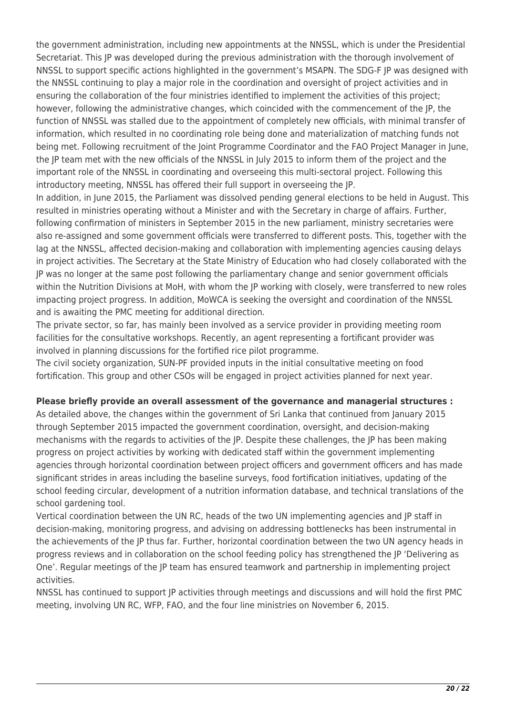the government administration, including new appointments at the NNSSL, which is under the Presidential Secretariat. This JP was developed during the previous administration with the thorough involvement of NNSSL to support specific actions highlighted in the government's MSAPN. The SDG-F JP was designed with the NNSSL continuing to play a major role in the coordination and oversight of project activities and in ensuring the collaboration of the four ministries identified to implement the activities of this project; however, following the administrative changes, which coincided with the commencement of the JP, the function of NNSSL was stalled due to the appointment of completely new officials, with minimal transfer of information, which resulted in no coordinating role being done and materialization of matching funds not being met. Following recruitment of the Joint Programme Coordinator and the FAO Project Manager in June, the JP team met with the new officials of the NNSSL in July 2015 to inform them of the project and the important role of the NNSSL in coordinating and overseeing this multi-sectoral project. Following this introductory meeting, NNSSL has offered their full support in overseeing the JP.

In addition, in June 2015, the Parliament was dissolved pending general elections to be held in August. This resulted in ministries operating without a Minister and with the Secretary in charge of affairs. Further, following confirmation of ministers in September 2015 in the new parliament, ministry secretaries were also re-assigned and some government officials were transferred to different posts. This, together with the lag at the NNSSL, affected decision-making and collaboration with implementing agencies causing delays in project activities. The Secretary at the State Ministry of Education who had closely collaborated with the JP was no longer at the same post following the parliamentary change and senior government officials within the Nutrition Divisions at MoH, with whom the JP working with closely, were transferred to new roles impacting project progress. In addition, MoWCA is seeking the oversight and coordination of the NNSSL and is awaiting the PMC meeting for additional direction.

The private sector, so far, has mainly been involved as a service provider in providing meeting room facilities for the consultative workshops. Recently, an agent representing a fortificant provider was involved in planning discussions for the fortified rice pilot programme.

The civil society organization, SUN-PF provided inputs in the initial consultative meeting on food fortification. This group and other CSOs will be engaged in project activities planned for next year.

#### **Please briefly provide an overall assessment of the governance and managerial structures :**

As detailed above, the changes within the government of Sri Lanka that continued from January 2015 through September 2015 impacted the government coordination, oversight, and decision-making mechanisms with the regards to activities of the JP. Despite these challenges, the JP has been making progress on project activities by working with dedicated staff within the government implementing agencies through horizontal coordination between project officers and government officers and has made significant strides in areas including the baseline surveys, food fortification initiatives, updating of the school feeding circular, development of a nutrition information database, and technical translations of the school gardening tool.

Vertical coordination between the UN RC, heads of the two UN implementing agencies and JP staff in decision-making, monitoring progress, and advising on addressing bottlenecks has been instrumental in the achievements of the JP thus far. Further, horizontal coordination between the two UN agency heads in progress reviews and in collaboration on the school feeding policy has strengthened the JP 'Delivering as One'. Regular meetings of the JP team has ensured teamwork and partnership in implementing project activities.

NNSSL has continued to support JP activities through meetings and discussions and will hold the first PMC meeting, involving UN RC, WFP, FAO, and the four line ministries on November 6, 2015.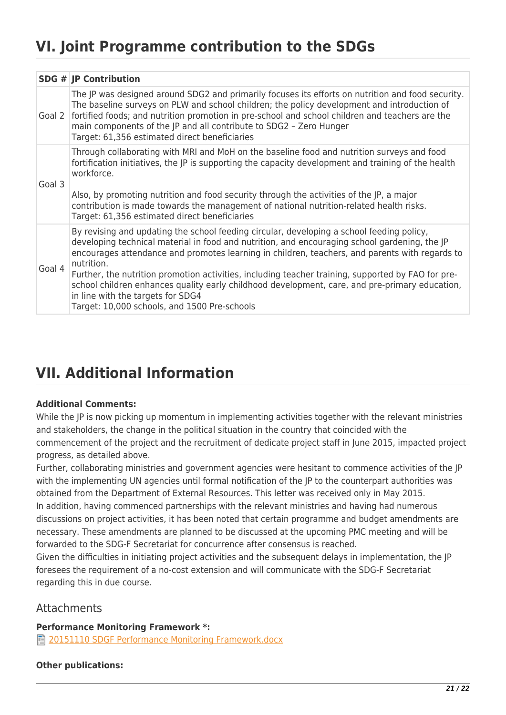# **VI. Joint Programme contribution to the SDGs**

|        | SDG $#$ JP Contribution                                                                                                                                                                                                                                                                                                                                                                                                                                                                                                                                                                                 |
|--------|---------------------------------------------------------------------------------------------------------------------------------------------------------------------------------------------------------------------------------------------------------------------------------------------------------------------------------------------------------------------------------------------------------------------------------------------------------------------------------------------------------------------------------------------------------------------------------------------------------|
|        | The JP was designed around SDG2 and primarily focuses its efforts on nutrition and food security.<br>The baseline surveys on PLW and school children; the policy development and introduction of<br>Goal 2 fortified foods; and nutrition promotion in pre-school and school children and teachers are the<br>main components of the JP and all contribute to SDG2 - Zero Hunger<br>Target: 61,356 estimated direct beneficiaries                                                                                                                                                                       |
| Goal 3 | Through collaborating with MRI and MoH on the baseline food and nutrition surveys and food<br>fortification initiatives, the JP is supporting the capacity development and training of the health<br>workforce.<br>Also, by promoting nutrition and food security through the activities of the JP, a major<br>contribution is made towards the management of national nutrition-related health risks.<br>Target: 61,356 estimated direct beneficiaries                                                                                                                                                 |
| Goal 4 | By revising and updating the school feeding circular, developing a school feeding policy,<br>developing technical material in food and nutrition, and encouraging school gardening, the JP<br>encourages attendance and promotes learning in children, teachers, and parents with regards to<br>nutrition.<br>Further, the nutrition promotion activities, including teacher training, supported by FAO for pre-<br>school children enhances quality early childhood development, care, and pre-primary education,<br>in line with the targets for SDG4<br>Target: 10,000 schools, and 1500 Pre-schools |

# **VII. Additional Information**

#### **Additional Comments:**

While the IP is now picking up momentum in implementing activities together with the relevant ministries and stakeholders, the change in the political situation in the country that coincided with the commencement of the project and the recruitment of dedicate project staff in June 2015, impacted project progress, as detailed above.

Further, collaborating ministries and government agencies were hesitant to commence activities of the JP with the implementing UN agencies until formal notification of the JP to the counterpart authorities was obtained from the Department of External Resources. This letter was received only in May 2015. In addition, having commenced partnerships with the relevant ministries and having had numerous discussions on project activities, it has been noted that certain programme and budget amendments are necessary. These amendments are planned to be discussed at the upcoming PMC meeting and will be forwarded to the SDG-F Secretariat for concurrence after consensus is reached.

Given the difficulties in initiating project activities and the subsequent delays in implementation, the JP foresees the requirement of a no-cost extension and will communicate with the SDG-F Secretariat regarding this in due course.

## **Attachments**

**Performance Monitoring Framework \*:** 

**■ [20151110 SDGF Performance Monitoring Framework.docx](http://proposals.sdgfund.org/sites/default/files/concept_note_form/20151110%20SDGF%20Performance%20Monitoring%20Framework.docx)** 

#### **Other publications:**